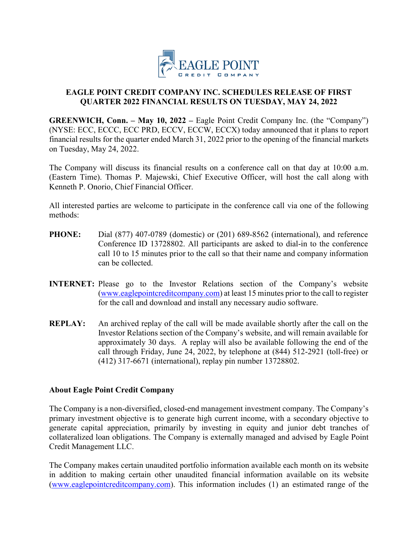

## **EAGLE POINT CREDIT COMPANY INC. SCHEDULES RELEASE OF FIRST QUARTER 2022 FINANCIAL RESULTS ON TUESDAY, MAY 24, 2022**

**GREENWICH, Conn. – May 10, 2022 – Eagle Point Credit Company Inc. (the "Company")** (NYSE: ECC, ECCC, ECC PRD, ECCV, ECCW, ECCX) today announced that it plans to report financial results for the quarter ended March 31, 2022 prior to the opening of the financial markets on Tuesday, May 24, 2022.

The Company will discuss its financial results on a conference call on that day at 10:00 a.m. (Eastern Time). Thomas P. Majewski, Chief Executive Officer, will host the call along with Kenneth P. Onorio, Chief Financial Officer.

All interested parties are welcome to participate in the conference call via one of the following methods:

- **PHONE:** Dial (877) 407-0789 (domestic) or (201) 689-8562 (international), and reference Conference ID 13728802. All participants are asked to dial-in to the conference call 10 to 15 minutes prior to the call so that their name and company information can be collected.
- **INTERNET:** Please go to the Investor Relations section of the Company's website [\(www.eaglepointcreditcompany.com\)](http://cts.businesswire.com/ct/CT?id=smartlink&url=http%3A%2F%2Fwww.eaglepointcreditcompany.com&esheet=51508688&newsitemid=20170210005626&lan=en-US&anchor=www.eaglepointcreditcompany.com&index=1&md5=72a2b78aac4404901ccfbb70aab71fa9) at least 15 minutes prior to the call to register for the call and download and install any necessary audio software.
- **REPLAY:** An archived replay of the call will be made available shortly after the call on the Investor Relations section of the Company's website, and will remain available for approximately 30 days. A replay will also be available following the end of the call through Friday, June 24, 2022, by telephone at (844) 512-2921 (toll-free) or (412) 317-6671 (international), replay pin number 13728802.

## **About Eagle Point Credit Company**

The Company is a non-diversified, closed-end management investment company. The Company's primary investment objective is to generate high current income, with a secondary objective to generate capital appreciation, primarily by investing in equity and junior debt tranches of collateralized loan obligations. The Company is externally managed and advised by Eagle Point Credit Management LLC.

The Company makes certain unaudited portfolio information available each month on its website in addition to making certain other unaudited financial information available on its website (www.eaglepointcreditcompany.com). This information includes (1) an estimated range of the